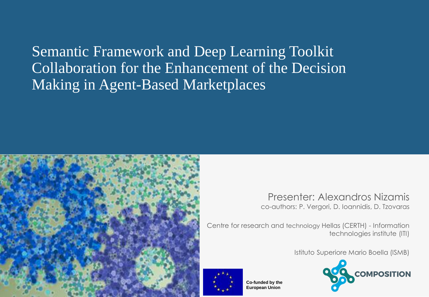Semantic Framework and Deep Learning Toolkit Collaboration for the Enhancement of the Decision Making in Agent-Based Marketplaces



Presenter: Alexandros Nizamis co-authors: P. Vergori, D. Ioannidis, D. Tzovaras

Centre for research and technology Hellas (CERTH) - Information technologies institute (ITI)

Istituto Superiore Mario Boella (ISMB)



**Co-funded by the European Union**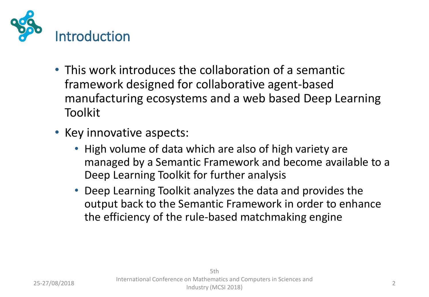

- This work introduces the collaboration of a semantic framework designed for collaborative agent-based manufacturing ecosystems and a web based Deep Learning Toolkit
- Key innovative aspects:
	- High volume of data which are also of high variety are managed by a Semantic Framework and become available to a Deep Learning Toolkit for further analysis
	- Deep Learning Toolkit analyzes the data and provides the output back to the Semantic Framework in order to enhance the efficiency of the rule-based matchmaking engine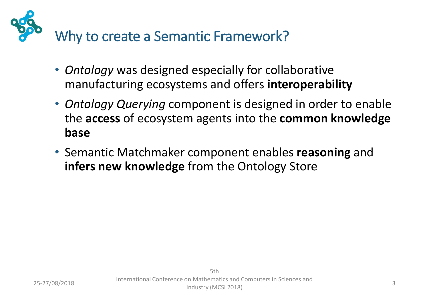

- *Ontology* was designed especially for collaborative manufacturing ecosystems and offers **interoperability**
- *Ontology Querying* component is designed in order to enable the **access** of ecosystem agents into the **common knowledge base**
- Semantic Matchmaker component enables **reasoning** and **infers new knowledge** from the Ontology Store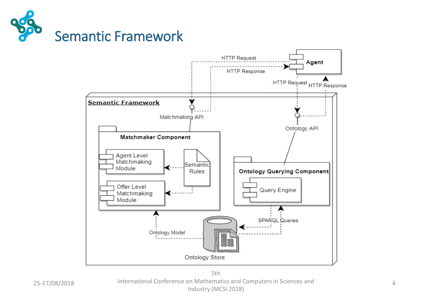



25-27/08/2018 4 International Conference on Mathematics and Computers in Sciences and 5th Industry (MCSI 2018)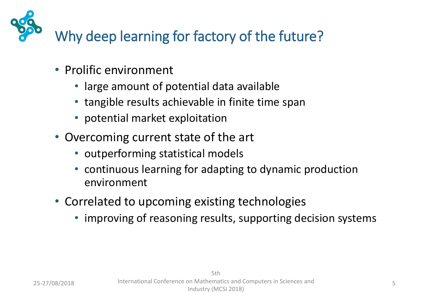Why deep learning for factory of the future?

- Prolific environment
	- large amount of potential data available
	- tangible results achievable in finite time span
	- potential market exploitation
- Overcoming current state of the art
	- outperforming statistical models
	- continuous learning for adapting to dynamic production environment
- Correlated to upcoming existing technologies
	- improving of reasoning results, supporting decision systems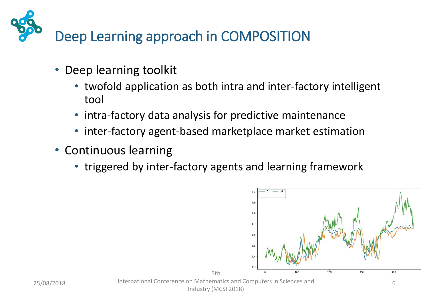

- Deep learning toolkit
	- twofold application as both intra and inter-factory intelligent tool
	- intra-factory data analysis for predictive maintenance
	- inter-factory agent-based marketplace market estimation
- Continuous learning
	- triggered by inter-factory agents and learning framework

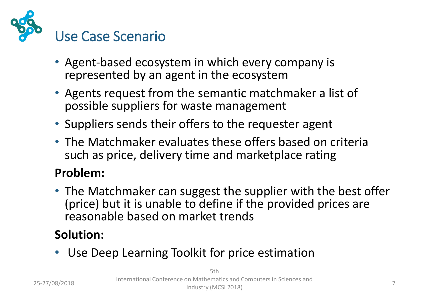

- Agent-based ecosystem in which every company is represented by an agent in the ecosystem
- Agents request from the semantic matchmaker a list of possible suppliers for waste management
- Suppliers sends their offers to the requester agent
- The Matchmaker evaluates these offers based on criteria such as price, delivery time and marketplace rating

## **Problem:**

• The Matchmaker can suggest the supplier with the best offer (price) but it is unable to define if the provided prices are reasonable based on market trends

## **Solution:**

Use Deep Learning Toolkit for price estimation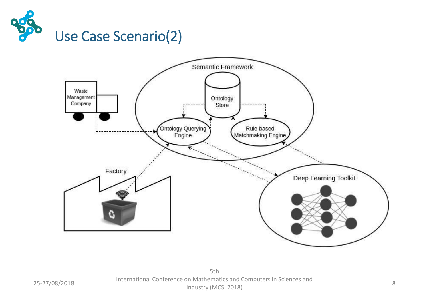

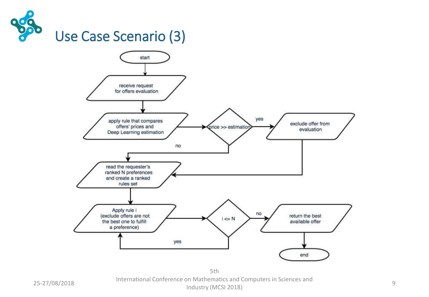



5th International Conference on Mathematics and Computers in Sciences and Industry (MCSI 2018) 9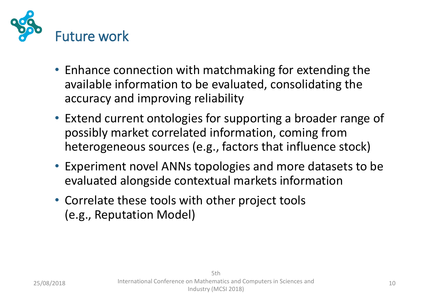

- Enhance connection with matchmaking for extending the available information to be evaluated, consolidating the accuracy and improving reliability
- Extend current ontologies for supporting a broader range of possibly market correlated information, coming from heterogeneous sources (e.g., factors that influence stock)
- Experiment novel ANNs topologies and more datasets to be evaluated alongside contextual markets information
- Correlate these tools with other project tools (e.g., Reputation Model)